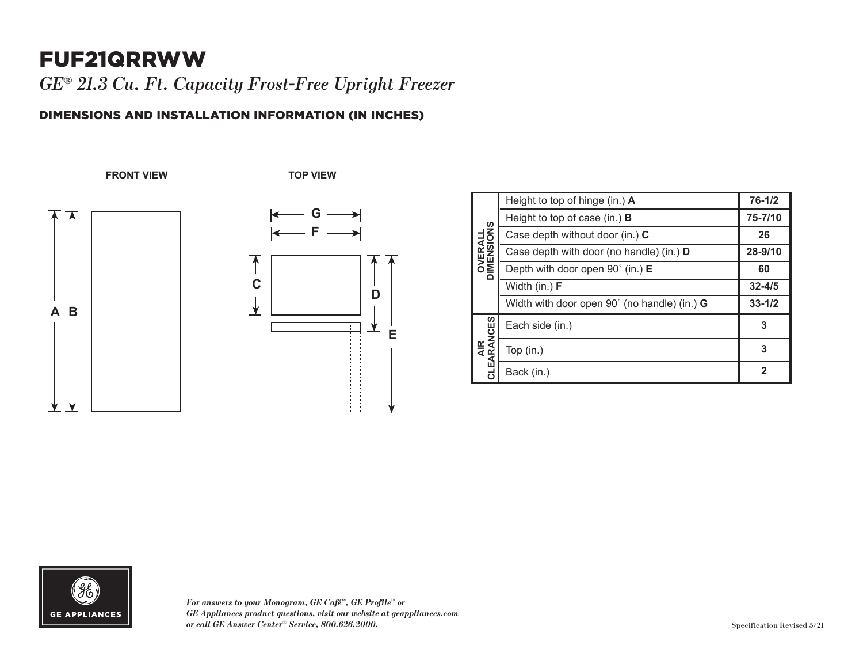## FUF21QRRWW

*GE® 21.3 Cu. Ft. Capacity Frost-Free Upright Freezer* 

## DIMENSIONS AND INSTALLATION INFORMATION (IN INCHES)

**FRONT VIEW TOP VIEW**







| <b>OVERALL</b><br>DIMENSIONS | Height to top of hinge (in.) A                      | $76 - 1/2$ |
|------------------------------|-----------------------------------------------------|------------|
|                              | Height to top of case (in.) <b>B</b>                | 75-7/10    |
|                              | Case depth without door (in.) C                     | 26         |
|                              | Case depth with door (no handle) (in.) D            | 28-9/10    |
|                              | Depth with door open 90° (in.) E                    | 60         |
|                              | Width (in.) F                                       | $32 - 4/5$ |
|                              | Width with door open 90° (no handle) (in.) <b>G</b> | $33 - 1/2$ |
| AIR<br>CLEARANCES            | Each side (in.)                                     | 3          |
|                              | Top (in.)                                           | 3          |
|                              | Back (in.)                                          | 2          |



*For answers to your Monogram, GE Café™, GE Profile™ or*  **2** *GE Appliances product questions, visit our website at geappliances.com or call GE Answer Center® Service, 800.626.2000.*